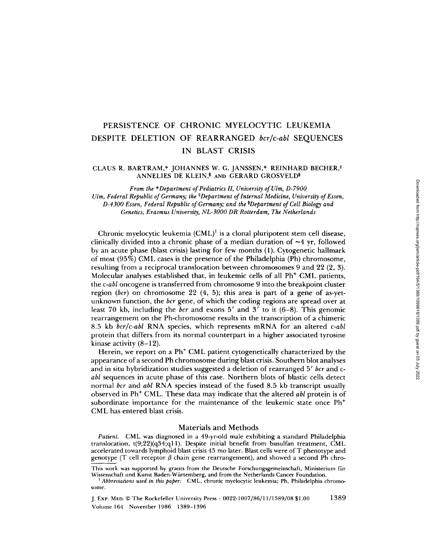# PERSISTENCE OF CHRONIC MYELOCYTIC LEUKEMIA DESPITE DELETION OF REARRANGED bcr/c-abl SEQUENCES IN BLAST CRISIS

## CLAUS R. BARTRAM,\* JOHANNES W. G. JANSSEN,\* REINHARD BECHER,<sup>#</sup> ANNELIES DE KLEIN,§ AND GERARD GROSVELD§

From the \*Department of Pediatrics II, University of Ulm, D-7900 Ulm, Federal Republic of Germany; the \*Department of Internal Medicine, University of Essen, D-4300 Essen, Federal Republic of Germany; and the <sup>s</sup>Department of Cell Biology and Genetics, Erasmus University, NL-3000 DR Rotterdam, The Netherlands

Chronic myelocytic leukemia (CML)' is a clonal pluripotent stem cell disease, clinically divided into a chronic phase of a median duration of  $\sim$ 4 yr, followed by an acute phase (blast crisis) lasting for few months (1) . Cytogenetic hallmark of most (95%) CML cases is the presence of the Philadelphia (Ph) chromosome, resulting from a reciprocal translocation between chromosomes 9 and 22 (2, 3) . Molecular analyses established that, in leukemic cells of all Ph' CML patients, the c-abl oncogene is transferred from chromosome 9 into the breakpoint cluster region (bcr) on chromosome 22 (4, 5) ; this area is part of a gene of as-yetunknown function, the *bcr* gene, of which the coding regions are spread over at least 70 kb, including the bcr and exons <sup>5</sup>' and <sup>3</sup>' to it (6-8) . This genomic rearrangement on the Ph-chromosome results in the transcription of a chimeric 8.5 kb bcr/c-abl RNA species, which represents mRNA for an altered c-abl protein that differs from its normal counterpart in a higher associated tyrosine kinase activity (8-12) .

Herein, we report on a Ph' CML patient cytogenetically characterized by the appearance of a second Ph chromosome during blast crisis . Southern blot analyses and in situ hybridization studies suggested a deletion of rearranged 5*′ bcr* and cabl sequences in acute phase of this case. Northern blots of blastic cells detect normal bcr and abl RNA species instead of the fused 8.5 kb transcript usually observed in Ph' CML . These data may indicate that the altered abl protein is of subordinate importance for the maintenance of the leukemic state once Ph' CML has entered blast crisis .

### Materials and Methods

Patient. CML was diagnosed in a 49-yr-old male exhibiting a standard Philadelphia translocation, t(9;22)(g34;ql1). Despite initial benefit from busulfan treatment, CML accelerated towards lymphoid blast crisis 45 mo later . Blast cells were of T phenotype and genotype (T cell receptor  $\beta$  chain gene rearrangement), and showed a second Ph chro-

J. Exp MED. CThe Rockefeller University Press - 0022-1007/86/11/1389/08 \$1 .00 Volume 164 November 1986 1389-1396

This work was supported by grants from the Deutsche Forschungsgemeinschaft, Ministerium fiir Wissenschaft and Kunst Baden-Wiirtemberg, and from the Netherlands Cancer Foundation .

<sup>&</sup>lt;sup>1</sup> Abbreviations used in this paper: CML, chronic myelocytic leukemia; Ph, Philadelphia chromosome.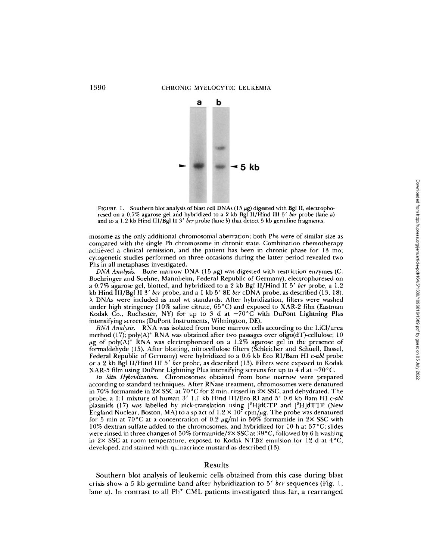

FIGURE 1. Southern blot analysis of blast cell DNAs (15  $\mu$ g) digested with Bgl II, electrophoresed on a 0.7% agarose gel and hybridized to a 2 kb Bgl II/Hind III 5' bcr probe (lane a) and to a 1.2 kb Hind III/Bgl II 3' bcr probe (lane b) that detect 5 kb germline fragments.

mosome as the only additional chromosomal aberration; both Phs were of similar size as compared with the single Ph chromosome in chronic state . Combination chemotherapy achieved <sup>a</sup> clinical remission, and the patient has been in chronic phase for 13 mo; cytogenetic studies performed on three occasions during the latter period revealed two Phs in all metaphases investigated.

DNA Analysis. Bone marrow DNA (15  $\mu$ g) was digested with restriction enzymes (C. Boehringer and Soehne, Mannheim, Federal Republic of Germany), electrophoresed on a 0.7% agarose gel, blotted, and hybridized to a 2 kb Bgl II/Hind II 5' bcr probe, a 1.2 kb Hind III/Bgl II 3' bcr probe, and a 1 kb 5' 8E bcr cDNA probe, as described (13, 18). <sup>A</sup> DNAs were included as mol wt standards . After hybridization, filters were washed under high stringency (10% saline citrate, 65°C) and exposed to XAR-2 film (Eastman Kodak Co., Rochester, NY) for up to 3 d at  $-70^{\circ}$ C with DuPont Lightning Plus intensifying screens (DuPont Instruments, Wilmington, DE).

RNA Analysis. RNA was isolated from bone marrow cells according to the LiCl/urea method (17); poly(A)<sup>+</sup> RNA was obtained after two passages over oligo(dT)-cellulose; 10  $\mu$ g of poly(A)<sup>+</sup> RNA was electrophoresed on a 1.2% agarose gel in the presence of formaldehyde (15) . After blotting, nitrocellulose filters (Schleicher and Schuell, Dassel, Federal Republic of Germany) were hybridized to a 0.6 kb Eco RI/Bam HI c-abl probe or a 2 kb Bgl II/Hind III 5' bcr probe, as described (13). Filters were exposed to Kodak XAR-5 film using DuPont Lightning Plus intensifying screens for up to  $4d$  at  $-70^{\circ}$ C.

In Situ Hybridization Chromosomes obtained from bone marrow were prepared according to standard techniques . After RNase treatment, chromosomes were denatured in 70% formamide in  $2 \times$  SSC at 70 °C for 2 min, rinsed in  $2 \times$  SSC, and dehydrated. The probe, a 1:1 mixture of human  $3'$  1.1 kb Hind III/Eco RI and  $5'$  0.6 kb Bam HI c-abl plasmids (17) was labelled by nick-translation using  $[^{3}H]dCTP$  and  $[^{3}H]dTTP$  (New England Nuclear, Boston, MA) to a sp act of  $1.2 \times 10^7$  cpm/ $\mu$ g. The probe was denatured for 5 min at 70°C at a concentration of 0.2  $\mu$ g/ml in 50% formamide in 2× SSC with 10% dextran sulfate added to the chromosomes, and hybridized for 10 h at 37°C; slides were rinsed in three changes of 50% formamide/2X SSC at 39°C, followed by 6 h washing in 2× SSC at room temperature, exposed to Kodak NTB2 emulsion for 12 d at  $4^{\circ}C$ , developed, and stained with quinacrince mustard as described (13) .

#### Results

Southern blot analysis of leukemic cells obtained from this case during blast crisis show a 5 kb germline band after hybridization to 5' bcr sequences (Fig. 1, lane  $a$ ). In contrast to all Ph<sup>+</sup> CML patients investigated thus far, a rearranged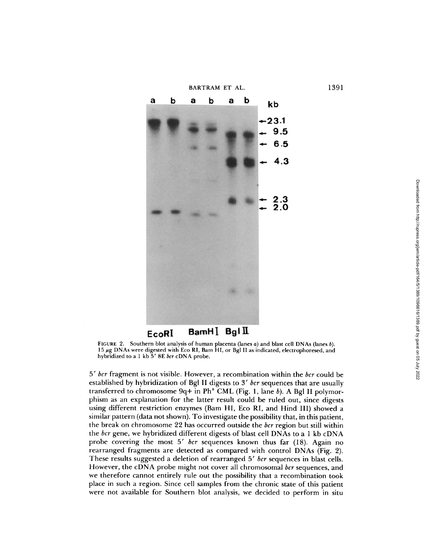

FIGURE 2. Southern blot analysis of human placenta (lanes  $a$ ) and blast cell DNAs (lanes  $b$ ). 15 µg DNAs were digested with Eco RI, Bam HI, or Bgl II as indicated, electrophoresed, and hybridized to a 1 kb  $5'$  8E bcr cDNA probe.

 $5'$  bcr fragment is not visible. However, a recombination within the bcr could be established by hybridization of Bgl II digests to 3' bcr sequences that are usually transferred to chromosome  $9q +$  in Ph<sup>+</sup> CML (Fig. 1, lane b). A Bgl II polymorphism as an explanation for the latter result could be ruled out, since digests using different restriction enzymes (Bam H1, Eco R1, and Hind 111) showed a similar pattern (data not shown). To investigate the possibility that, in this patient, the break on chromosome 22 has occurred outside the bcr region but still within the bcr gene, we hybridized different digests of blast cell DNAs to a <sup>1</sup> kb cDNA probe covering the most 5' bcr sequences known thus far (18). Again no rearranged fragments are detected as compared with control DNAs (Fig. 2). These results suggested a deletion of rearranged 5' bcr sequences in blast cells. However, the cDNA probe might not cover all chromosomal bcr sequences, and we therefore cannot entirely rule out the possibility that a recombination took place in such a region. Since cell samples from the chronic state of this patient were not available for Southern blot analysis, we decided to perform in situ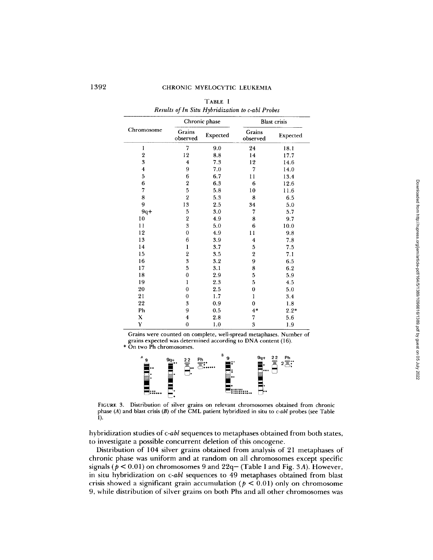| Chromosome              | Chronic phase           |          | <b>Blast</b> crisis     |          |
|-------------------------|-------------------------|----------|-------------------------|----------|
|                         | Grains<br>observed      | Expected | Grains<br>observed      | Expected |
| 1                       | 7                       | 9.0      | 24                      | 18.1     |
| $\overline{2}$          | 12                      | 8.8      | 14                      | 17.7     |
| 3                       | $\overline{\mathbf{4}}$ | 7.3      | 12                      | 14.6     |
| $\overline{\mathbf{4}}$ | 9                       | 7.0      | 7                       | 14.0     |
| 5                       | 6                       | 6.7      | 11                      | 13.4     |
| 6                       | $\overline{\mathbf{2}}$ | 6.3      | 6                       | 12.6     |
| 7                       | 5                       | 5.8      | 10                      | 11.6     |
| 8                       | $\overline{2}$          | 5.3      | 8                       | 6.5      |
| 9                       | 13                      | 2.5      | 34                      | 5.0      |
| $9q+$                   | 5                       | 3.0      | 7                       | 5.7      |
| 10                      | $\boldsymbol{2}$        | 4.9      | 8                       | 9.7      |
| 11                      | 3                       | 5.0      | 6                       | 10.0     |
| 12                      | $\overline{0}$          | 4.9      | 11                      | 9.8      |
| 13                      | 6                       | 3.9      | $\overline{\mathbf{4}}$ | 7.8      |
| 14                      | ı                       | 3.7      | 5                       | 7.5      |
| 15                      | $\overline{2}$          | 3.5      | $\overline{2}$          | 7.1      |
| 16                      | 3                       | 3.2      | 9                       | 6.5      |
| 17                      | 5                       | 3.1      | 8                       | 6.2      |
| 18                      | $\bf{0}$                | 2.9      | 5                       | 5.9      |
| 19                      | $\mathbf{1}$            | 2.3      | 5                       | 4.5      |
| 20                      | $\bf{0}$                | 2.5      | $\bf{0}$                | 5.0      |
| 21                      | $\bf{0}$                | 1.7      | 1                       | 3.4      |
| 22                      | 3                       | 0.9      | $\mathbf 0$             | 1.8      |
| Ph                      | 9                       | 0.5      | $4*$                    | $2.2*$   |
| X                       | 4                       | 2.8      | 7                       | 5.6      |
| Y                       | $\bf{0}$                | 1.0      | 3                       | 1.9      |

TABLE I Results of In Situ Hybridization to c-abl Probes

Grains were counted on complete, well-spread metaphases . Number of grains expected was determined according to DNA content (16) .

\* On two Ph chromosomes .



FIGURE 3. Distribution of silver grains on relevant chromosomes obtained from chronic<br>phase (A) and blast crisis (B) of the CML patient hybridized in situ to c-abl probes (see Table<br>I).

hybridization studies of  $c$ -abl sequences to metaphases obtained from both states, to investigate a possible concurrent deletion of this oncogene .

Distribution of 104 silver grains obtained from analysis of 21 metaphases of chronic phase was uniform and at random on all chromosomes except specific signals ( $p < 0.01$ ) on chromosomes 9 and 22q– (Table I and Fig. 3A). However in situ hybridization on c-abl sequences to 49 metaphases obtained from blast crisis showed a significant grain accumulation ( $p < 0.01$ ) only on chromosome 9, while distribution of silver grains on both Phs and all other chromosomes was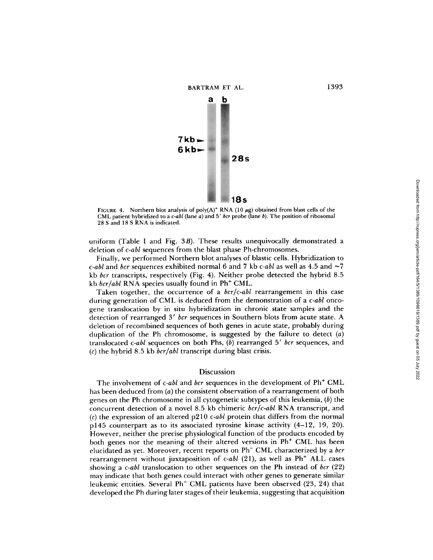

FIGURE 4. Northern blot analysis of poly(A)<sup>+</sup> RNA (10  $\mu$ g) obtained from blast cells of the CML patient hybridized to a c-abl (lane a) and  $5'$  bcr probe (lane b). The position of ribosomal  $20.8$ <sup>28</sup> S and <sup>18</sup> S RNA is indicated.

uniform (Table I and Fig. 3B). These results unequivocally demonstrated a deletion of c-abl sequences from the blast phase Ph-chromosomes.

Finally, we performed Northern blot analyses of blastic cells. Hybridization to c-abl and bcr sequences exhibited normal 6 and 7 kb c-abl as well as 4.5 and  $\sim$ 7 kb bcr transcripts, respectively (Fig. 4). Neither probe detected the hybrid 8.5 kb  $bcr/abl$  RNA species usually found in Ph<sup>+</sup> CML.

Taken together, the occurrence of a *bcr/c-abl* rearrangement in this case during generation of CML is deduced from the demonstration of a c-abl oncogene translocation by in situ hybridization in chronic state samples and the detection of rearranged 3' ber sequences in Southern blots from acute state. A deletion of recombined sequences of both genes in acute state, probably during duplication of the Ph chromosome, is suggested by the failure to detect  $(a)$ translocated  $c$ -abl sequences on both Phs,  $(b)$  rearranged  $5'$  bcr sequences, and (c) the hybrid 8.5 kb  $bcr/abl$  transcript during blast crisis.

#### Discussion

The involvement of c-abl and bcr sequences in the development of Ph<sup>+</sup> CML has been deduced from (a) the consistent observation of a rearrangement of both genes on the Ph chromosome in all cytogenetic subtypes of this leukemia,  $(b)$  the concurrent detection of a novel 8.5 kb chimeric bcr/c-abl RNA transcript, and (c) the expression of an altered  $p210$  c-abl protein that differs from the normal p145 counterpart as to its associated tyrosine kinase activity (4-12, 19, 20). However, neither the precise physiological function of the products encoded by both genes nor the meaning of their altered versions in Ph' CML has been elucidated as yet. Moreover, recent reports on Ph<sup>-</sup> CML characterized by a bcr rearrangement without juxtaposition of c-abl (21), as well as Ph<sup>+</sup> ALL cases showing a c-abl translocation to other sequences on the Ph instead of bcr  $(22)$ may indicate that both genes could interact with other genes to generate similar leukemic entities. Several Ph<sup>-</sup> CML patients have been observed (23, 24) that developed the Ph during later stages of their leukemia, suggesting that acquisition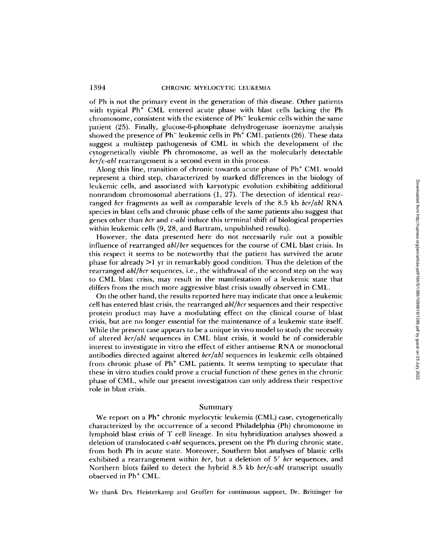of Ph is not the primary event in the generation of this disease. Other patients with typical Ph' CML entered acute phase with blast cells lacking the Ph chromosome, consistent with the existence of Ph - leukemic cells within the same patient (25) . Finally, glucose-6-phosphate dehydrogenase isoenzyme analysis showed the presence of Ph $^-$  leukemic cells in Ph $^+$  CML patients (26). These data suggest <sup>a</sup> multistep pathogenesis of CML in which the development of the cytogenetically visible Ph chromosome, as well as the molecularly detectable bcr/c-abl rearrangement is a second event in this process.

Along this line, transition of chronic towards acute phase of Ph' CML would represent a third step, characterized by marked differences in the biology of leukemic cells, and associated with karyotypic evolution exhibiting additional nonrandom chromosomal aberrations (1, 27). The detection of identical rearranged bcr fragments as well as comparable levels of the 8.5 kb  $bcr/abl RNA$ species in blast cells and chronic phase cells of the same patients also suggest that genes other than *bcr* and c-abl induce this terminal shift of biological properties within leukemic cells (9, 28, and Bartram, unpublished results).

However, the data presented here do not necessarily rule out a possible influence of rearranged abl/bcr sequences for the course of CML blast crisis. In this respect it seems to be noteworthy that the patient has survived the acute phase for already  $>1$  yr in remarkably good condition. Thus the deletion of the rearranged *abl/bcr* sequences, i.e., the withdrawal of the second step on the way to CML blast crisis, may result in the manifestation of a leukemic state that differs from the much more aggressive blast crisis usually observed in CML.

On the other hand, the results reported here mayindicate that once a leukemic cell has entered blast crisis, the rearranged abl/bcr sequences and their respective protein product may have a modulating effect on the clinical course of blast crisis, but are no longer essential for the maintenance of a leukemic state itself. While the present case appears to be a unique in vivo model to study the necessity of altered bcr/abl sequences in CML blast crisis, it would be of considerable interest to investigate in vitro the effect of either antisense RNA or monoclonal antibodies directed against altered  $bcr/abl$  sequences in leukemic cells obtained from chronic phase of Ph' CML patients . It seems tempting to speculate that these in vitro studies could prove a crucial function of these genes in the chronic phase of CML, while our present investigation can only address their respective role in blast crisis .

#### Summary

We report on a Ph' chronic myelocytic leukemia (CML) case, cytogenetically characterized by the occurrence of a second Philadelphia (Ph) chromosome in lymphoid blast crisis of T cell lineage. In situ hybridization analyses showed a deletion of translocated  $c$ -abl sequences, present on the Ph during chronic state, from both Ph in acute state. Moreover, Southern blot analyses of blastic cells exhibited a rearrangement within  $\emph{br}$ , but a deletion of  $5'$   $\emph{br}$  sequences, and Northern blots failed to detect the hybrid 8.5 kb bcr/c-abl transcript usually observed in Ph' CML.

We thank Drs. Heisterkamp and Groffen for continuous support, Dr. Brittinger for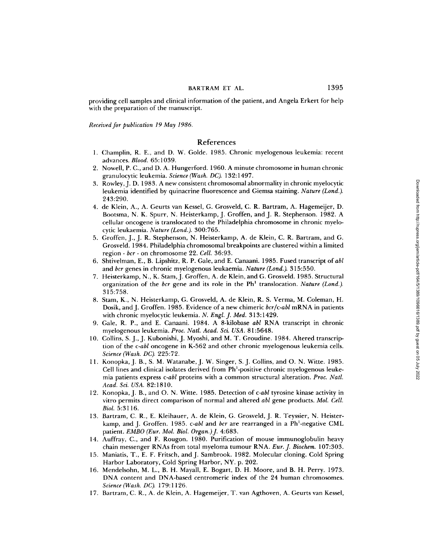#### BARTRAM ET AL.

providing cell samples and clinical information of the patient, and Angela Erkert for help with the preparation of the manuscript.

Received for publication 19 May 1986.

## References

- 1. Champlin, R. E., and D. W. Golde. 1985. Chronic myelogenous leukemia: recent advances. Blood. 65:1039.
- 2. Nowell, P. C., and D. A . Hungerford. 1960. A minute chromosome in human chronic granulocytic leukemia. Science (Wash. DC). 132:1497.
- 3. Rowley, J. D. 1983 . A new consistent chromosomal abnormality in chronic myelocytic leukemia identified by quinacrine fluorescence and Giemsa staining. Nature (Lond.). 243 :290.
- 4. de Klein, A., A. Geurts van Kessel, G. Grosveld, C. R. Bartram, A. Hagemeijer, D. Bootsma, N. K. Spurr, N . Heisterkamp, J. Groffen, and <sup>J</sup> . R. Stephenson . 1982. A cellular oncogene is translocated to the Philadelphia chromosome in chronic myelocytic leukaemia. Nature (Lond.). 300:765 .
- 5. Groffen, J., J. R. Stephenson, N. Heisterkamp, A. de Klein, C. R . Bartram, and G. Grosveld . 1984. Philadelphia chromosomal breakpoints are clustered within a limited region - bcr - on chromosome 22. Cell. 36:93.
- 6. Shtivelman, E., B. Lipshitz, R. P. Gale, and E. Canaani. 1985. Fused transcript of abl and bcr genes in chronic myelogenous leukaemia. Nature (Lond.). 315:550.
- 7. Heisterkamp, N., K. Stam, J. Groffen, A. de Klein, and G. Grosveld. 1985. Structural organization of the bcr gene and its role in the  $Ph<sup>1</sup>$  translocation. Nature (Lond.). 315 :758.
- 8. Stam, K., N. Heisterkamp, G. Grosveld, A. de Klein, R. S. Verma, M. Coleman, H. Dosik, and J. Groffen. 1985. Evidence of a new chimeric bcr/c-abl mRNA in patients with chronic myelocytic leukemia. N. Engl. J. Med. 313:1429.
- <sup>9</sup> . Gale, R. P., and E. Canaani. <sup>1984</sup> . A 8-kilobase abl RNA transcript in chronic myelogenous leukemia. Proc. Natl. Acad. Sci. USA. 81:5648.
- 10. Collins, S. J., J. Kubonishi, J. Myoshi, and M. T. Groudine. 1984. Altered transcription of the c-abl oncogene in K-562 and other chronic myelogenous leukemia cells. Science (Wash. DC). 225:72.
- 11. Konopka, J. B., S. M. Watanabe, J. W. Singer, S. J. Collins, and O. N. Witte. 1985. Cell lines and clinical isolates derived from Ph'-positive chronic myelogenous leukemia patients express c-abl proteins with a common structural alteration. Proc. Natl. Acad. Sci. USA. 82:1810.
- 12. Konopka, J. B., and O. N. Witte. 1985. Detection of c-abl tyrosine kinase activity in vitro permits direct comparison of normal and altered abl gene products. Mol. Cell. Biol. 5:3116.
- 13. Bartram, C. R., E. Kleihauer, A. de Klein, G. Grosveld, J. R. Teyssier, N. Heisterkamp, and J. Groffen. 1985. c-abl and ber are rearranged in a Ph<sup>1</sup>-negative CML patient. EMBO (Eur. Mol. Biol. Organ.) J. 4:683.
- 14. Auffray, C ., and F. Rougon. 1980 . Purification of mouse immunoglobulin heavy chain messenger RNAs from total myeloma tumour RNA . Eur. J. Biochem. 107:303 .
- 15 . Maniatis, T., E. F. Fritsch, and J. Sambrook. 1982. Molecular cloning. Cold Spring Harbor Laboratory, Cold Spring Harbor, NY. p. 202.
- 16. Mendelsohn, M. L., B. H. Mayall, E. Bogart, D. H. Moore, and B. H. Perry. 1973. DN A content and DNA-based centromeric index of the 24 human chromosomes. Science (Wash. DC). 179:1126.
- 17. Bartram, C. R., A. de Klein, A. Hagemeijer, T. van Agthoven, A. Geurts van Kessel,